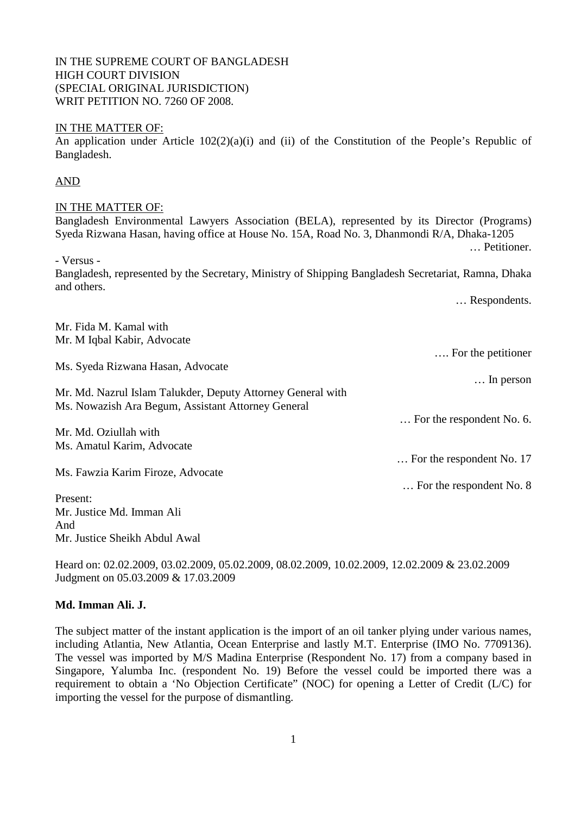# Bangladesh, represented by the Secretary, Ministry of Shipping Bangladesh Secretariat, Ramna, Dhaka

… Respondents.

Mr. Fida M. Kamal with Mr. M Iqbal Kabir, Advocate …. For the petitioner Ms. Syeda Rizwana Hasan, Advocate … In person Mr. Md. Nazrul Islam Talukder, Deputy Attorney General with Ms. Nowazish Ara Begum, Assistant Attorney General … For the respondent No. 6. Mr. Md. Oziullah with Ms. Amatul Karim, Advocate … For the respondent No. 17 Ms. Fawzia Karim Firoze, Advocate … For the respondent No. 8 Present: Mr. Justice Md. Imman Ali And

Mr. Justice Sheikh Abdul Awal

Heard on: 02.02.2009, 03.02.2009, 05.02.2009, 08.02.2009, 10.02.2009, 12.02.2009 & 23.02.2009 Judgment on 05.03.2009 & 17.03.2009

### **Md. Imman Ali. J.**

The subject matter of the instant application is the import of an oil tanker plying under various names, including Atlantia, New Atlantia, Ocean Enterprise and lastly M.T. Enterprise (IMO No. 7709136). The vessel was imported by M/S Madina Enterprise (Respondent No. 17) from a company based in Singapore, Yalumba Inc. (respondent No. 19) Before the vessel could be imported there was a requirement to obtain a 'No Objection Certificate'' (NOC) for opening a Letter of Credit (L/C) for importing the vessel for the purpose of dismantling.

# IN THE SUPREME COURT OF BANGLADESH HIGH COURT DIVISION (SPECIAL ORIGINAL JURISDICTION) WRIT PETITION NO. 7260 OF 2008.

## IN THE MATTER OF:

An application under Article 102(2)(a)(i) and (ii) of the Constitution of the People's Republic of Bangladesh.

# AND

## IN THE MATTER OF:

Bangladesh Environmental Lawyers Association (BELA), represented by its Director (Programs) Syeda Rizwana Hasan, having office at House No. 15A, Road No. 3, Dhanmondi R/A, Dhaka-1205 … Petitioner.

- Versus -

and others.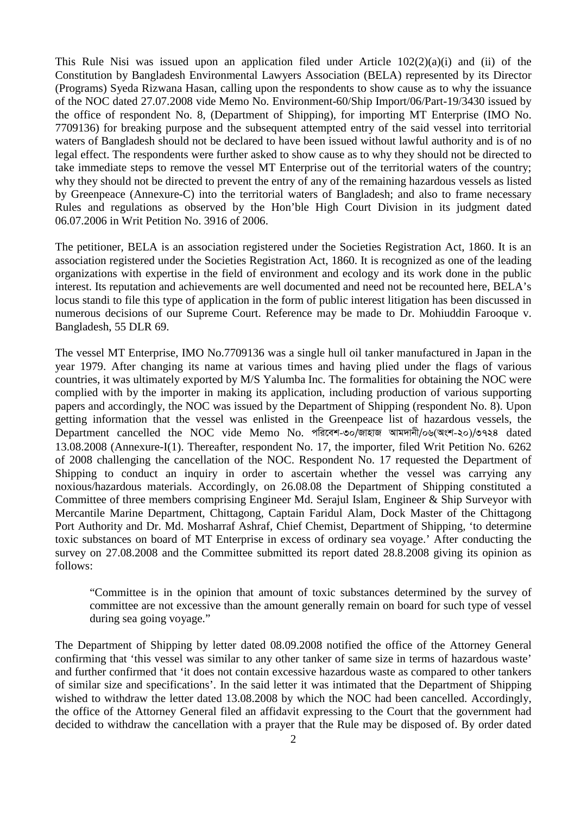This Rule Nisi was issued upon an application filed under Article  $102(2)(a)(i)$  and (ii) of the Constitution by Bangladesh Environmental Lawyers Association (BELA) represented by its Director (Programs) Syeda Rizwana Hasan, calling upon the respondents to show cause as to why the issuance of the NOC dated 27.07.2008 vide Memo No. Environment-60/Ship Import/06/Part-19/3430 issued by the office of respondent No. 8, (Department of Shipping), for importing MT Enterprise (IMO No. 7709136) for breaking purpose and the subsequent attempted entry of the said vessel into territorial waters of Bangladesh should not be declared to have been issued without lawful authority and is of no legal effect. The respondents were further asked to show cause as to why they should not be directed to take immediate steps to remove the vessel MT Enterprise out of the territorial waters of the country; why they should not be directed to prevent the entry of any of the remaining hazardous vessels as listed by Greenpeace (Annexure-C) into the territorial waters of Bangladesh; and also to frame necessary Rules and regulations as observed by the Hon'ble High Court Division in its judgment dated 06.07.2006 in Writ Petition No. 3916 of 2006.

The petitioner, BELA is an association registered under the Societies Registration Act, 1860. It is an association registered under the Societies Registration Act, 1860. It is recognized as one of the leading organizations with expertise in the field of environment and ecology and its work done in the public interest. Its reputation and achievements are well documented and need not be recounted here, BELA's locus standi to file this type of application in the form of public interest litigation has been discussed in numerous decisions of our Supreme Court. Reference may be made to Dr. Mohiuddin Farooque v. Bangladesh, 55 DLR 69.

The vessel MT Enterprise, IMO No.7709136 was a single hull oil tanker manufactured in Japan in the year 1979. After changing its name at various times and having plied under the flags of various countries, it was ultimately exported by M/S Yalumba Inc. The formalities for obtaining the NOC were complied with by the importer in making its application, including production of various supporting papers and accordingly, the NOC was issued by the Department of Shipping (respondent No. 8). Upon getting information that the vessel was enlisted in the Greenpeace list of hazardous vessels, the Department cancelled the NOC vide Memo No. পরিবেশ-৩০/জাহাজ আমদানী/০৬(অংশ-২০)/৩৭২৪ dated 13.08.2008 (Annexure-I(1). Thereafter, respondent No. 17, the importer, filed Writ Petition No. 6262 of 2008 challenging the cancellation of the NOC. Respondent No. 17 requested the Department of Shipping to conduct an inquiry in order to ascertain whether the vessel was carrying any noxious/hazardous materials. Accordingly, on 26.08.08 the Department of Shipping constituted a Committee of three members comprising Engineer Md. Serajul Islam, Engineer & Ship Surveyor with Mercantile Marine Department, Chittagong, Captain Faridul Alam, Dock Master of the Chittagong Port Authority and Dr. Md. Mosharraf Ashraf, Chief Chemist, Department of Shipping, 'to determine toxic substances on board of MT Enterprise in excess of ordinary sea voyage.' After conducting the survey on 27.08.2008 and the Committee submitted its report dated 28.8.2008 giving its opinion as follows:

"Committee is in the opinion that amount of toxic substances determined by the survey of committee are not excessive than the amount generally remain on board for such type of vessel during sea going voyage."

The Department of Shipping by letter dated 08.09.2008 notified the office of the Attorney General confirming that 'this vessel was similar to any other tanker of same size in terms of hazardous waste' and further confirmed that 'it does not contain excessive hazardous waste as compared to other tankers of similar size and specifications'. In the said letter it was intimated that the Department of Shipping wished to withdraw the letter dated 13.08.2008 by which the NOC had been cancelled. Accordingly, the office of the Attorney General filed an affidavit expressing to the Court that the government had decided to withdraw the cancellation with a prayer that the Rule may be disposed of. By order dated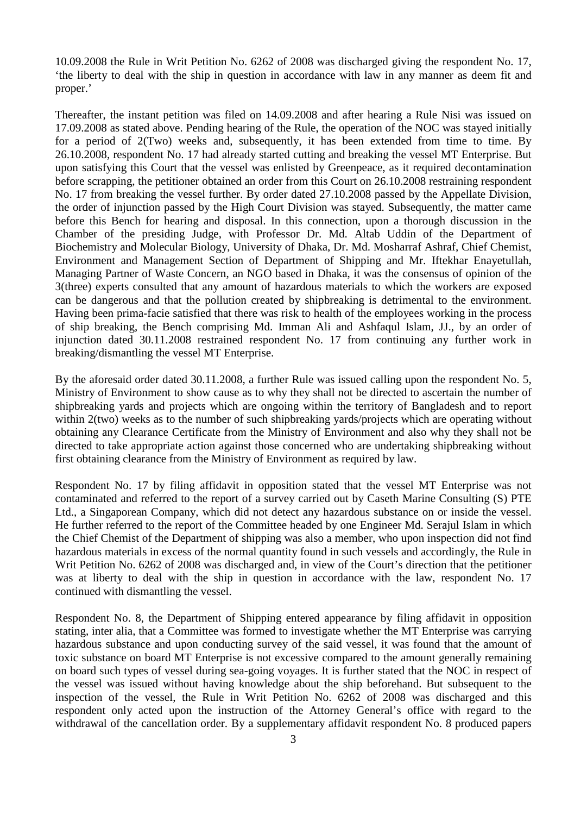10.09.2008 the Rule in Writ Petition No. 6262 of 2008 was discharged giving the respondent No. 17, 'the liberty to deal with the ship in question in accordance with law in any manner as deem fit and proper.'

Thereafter, the instant petition was filed on 14.09.2008 and after hearing a Rule Nisi was issued on 17.09.2008 as stated above. Pending hearing of the Rule, the operation of the NOC was stayed initially for a period of 2(Two) weeks and, subsequently, it has been extended from time to time. By 26.10.2008, respondent No. 17 had already started cutting and breaking the vessel MT Enterprise. But upon satisfying this Court that the vessel was enlisted by Greenpeace, as it required decontamination before scrapping, the petitioner obtained an order from this Court on 26.10.2008 restraining respondent No. 17 from breaking the vessel further. By order dated 27.10.2008 passed by the Appellate Division, the order of injunction passed by the High Court Division was stayed. Subsequently, the matter came before this Bench for hearing and disposal. In this connection, upon a thorough discussion in the Chamber of the presiding Judge, with Professor Dr. Md. Altab Uddin of the Department of Biochemistry and Molecular Biology, University of Dhaka, Dr. Md. Mosharraf Ashraf, Chief Chemist, Environment and Management Section of Department of Shipping and Mr. Iftekhar Enayetullah, Managing Partner of Waste Concern, an NGO based in Dhaka, it was the consensus of opinion of the 3(three) experts consulted that any amount of hazardous materials to which the workers are exposed can be dangerous and that the pollution created by shipbreaking is detrimental to the environment. Having been prima-facie satisfied that there was risk to health of the employees working in the process of ship breaking, the Bench comprising Md. Imman Ali and Ashfaqul Islam, JJ., by an order of injunction dated 30.11.2008 restrained respondent No. 17 from continuing any further work in breaking/dismantling the vessel MT Enterprise.

By the aforesaid order dated 30.11.2008, a further Rule was issued calling upon the respondent No. 5, Ministry of Environment to show cause as to why they shall not be directed to ascertain the number of shipbreaking yards and projects which are ongoing within the territory of Bangladesh and to report within 2(two) weeks as to the number of such shipbreaking yards/projects which are operating without obtaining any Clearance Certificate from the Ministry of Environment and also why they shall not be directed to take appropriate action against those concerned who are undertaking shipbreaking without first obtaining clearance from the Ministry of Environment as required by law.

Respondent No. 17 by filing affidavit in opposition stated that the vessel MT Enterprise was not contaminated and referred to the report of a survey carried out by Caseth Marine Consulting (S) PTE Ltd., a Singaporean Company, which did not detect any hazardous substance on or inside the vessel. He further referred to the report of the Committee headed by one Engineer Md. Serajul Islam in which the Chief Chemist of the Department of shipping was also a member, who upon inspection did not find hazardous materials in excess of the normal quantity found in such vessels and accordingly, the Rule in Writ Petition No. 6262 of 2008 was discharged and, in view of the Court's direction that the petitioner was at liberty to deal with the ship in question in accordance with the law, respondent No. 17 continued with dismantling the vessel.

Respondent No. 8, the Department of Shipping entered appearance by filing affidavit in opposition stating, inter alia, that a Committee was formed to investigate whether the MT Enterprise was carrying hazardous substance and upon conducting survey of the said vessel, it was found that the amount of toxic substance on board MT Enterprise is not excessive compared to the amount generally remaining on board such types of vessel during sea-going voyages. It is further stated that the NOC in respect of the vessel was issued without having knowledge about the ship beforehand. But subsequent to the inspection of the vessel, the Rule in Writ Petition No. 6262 of 2008 was discharged and this respondent only acted upon the instruction of the Attorney General's office with regard to the withdrawal of the cancellation order. By a supplementary affidavit respondent No. 8 produced papers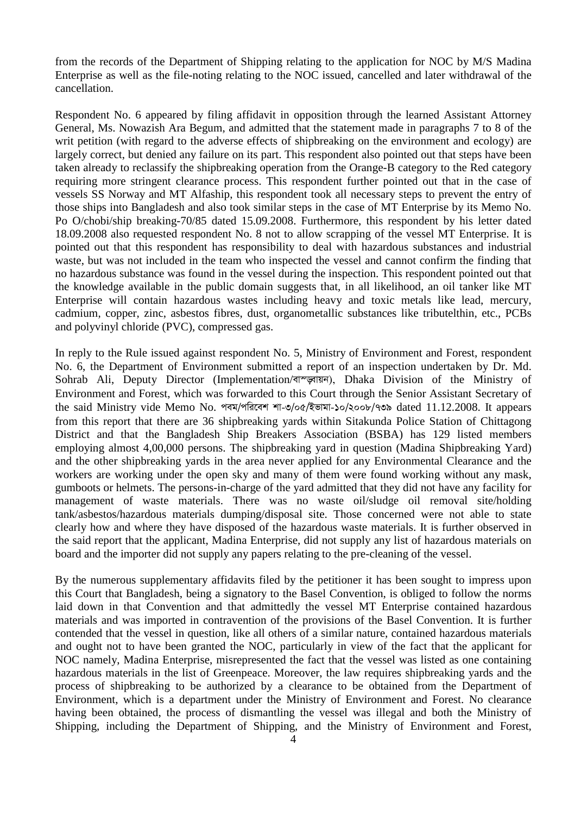from the records of the Department of Shipping relating to the application for NOC by M/S Madina Enterprise as well as the file-noting relating to the NOC issued, cancelled and later withdrawal of the cancellation.

Respondent No. 6 appeared by filing affidavit in opposition through the learned Assistant Attorney General, Ms. Nowazish Ara Begum, and admitted that the statement made in paragraphs 7 to 8 of the writ petition (with regard to the adverse effects of shipbreaking on the environment and ecology) are largely correct, but denied any failure on its part. This respondent also pointed out that steps have been taken already to reclassify the shipbreaking operation from the Orange-B category to the Red category requiring more stringent clearance process. This respondent further pointed out that in the case of vessels SS Norway and MT Alfaship, this respondent took all necessary steps to prevent the entry of those ships into Bangladesh and also took similar steps in the case of MT Enterprise by its Memo No. Po O/chobi/ship breaking-70/85 dated 15.09.2008. Furthermore, this respondent by his letter dated 18.09.2008 also requested respondent No. 8 not to allow scrapping of the vessel MT Enterprise. It is pointed out that this respondent has responsibility to deal with hazardous substances and industrial waste, but was not included in the team who inspected the vessel and cannot confirm the finding that no hazardous substance was found in the vessel during the inspection. This respondent pointed out that the knowledge available in the public domain suggests that, in all likelihood, an oil tanker like MT Enterprise will contain hazardous wastes including heavy and toxic metals like lead, mercury, cadmium, copper, zinc, asbestos fibres, dust, organometallic substances like tributelthin, etc., PCBs and polyvinyl chloride (PVC), compressed gas.

In reply to the Rule issued against respondent No. 5, Ministry of Environment and Forest, respondent No. 6, the Department of Environment submitted a report of an inspection undertaken by Dr. Md. Sohrab Ali, Deputy Director (Implementation/বাস্ড্গায়ন), Dhaka Division of the Ministry of Environment and Forest, which was forwarded to this Court through the Senior Assistant Secretary of the said Ministry vide Memo No. পৰম/পৱিবেশ শা-৩/০৫/ইভামা-১০/২০০৮/৭৩৯ dated 11.12.2008. It appears from this report that there are 36 shipbreaking yards within Sitakunda Police Station of Chittagong District and that the Bangladesh Ship Breakers Association (BSBA) has 129 listed members employing almost 4,00,000 persons. The shipbreaking yard in question (Madina Shipbreaking Yard) and the other shipbreaking yards in the area never applied for any Environmental Clearance and the workers are working under the open sky and many of them were found working without any mask, gumboots or helmets. The persons-in-charge of the yard admitted that they did not have any facility for management of waste materials. There was no waste oil/sludge oil removal site/holding tank/asbestos/hazardous materials dumping/disposal site. Those concerned were not able to state clearly how and where they have disposed of the hazardous waste materials. It is further observed in the said report that the applicant, Madina Enterprise, did not supply any list of hazardous materials on board and the importer did not supply any papers relating to the pre-cleaning of the vessel.

By the numerous supplementary affidavits filed by the petitioner it has been sought to impress upon this Court that Bangladesh, being a signatory to the Basel Convention, is obliged to follow the norms laid down in that Convention and that admittedly the vessel MT Enterprise contained hazardous materials and was imported in contravention of the provisions of the Basel Convention. It is further contended that the vessel in question, like all others of a similar nature, contained hazardous materials and ought not to have been granted the NOC, particularly in view of the fact that the applicant for NOC namely, Madina Enterprise, misrepresented the fact that the vessel was listed as one containing hazardous materials in the list of Greenpeace. Moreover, the law requires shipbreaking yards and the process of shipbreaking to be authorized by a clearance to be obtained from the Department of Environment, which is a department under the Ministry of Environment and Forest. No clearance having been obtained, the process of dismantling the vessel was illegal and both the Ministry of Shipping, including the Department of Shipping, and the Ministry of Environment and Forest,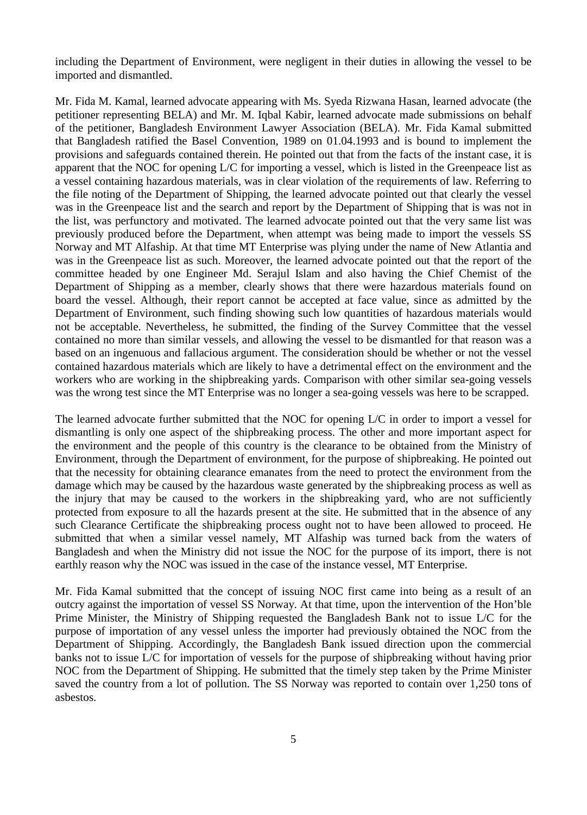including the Department of Environment, were negligent in their duties in allowing the vessel to be imported and dismantled.

Mr. Fida M. Kamal, learned advocate appearing with Ms. Syeda Rizwana Hasan, learned advocate (the petitioner representing BELA) and Mr. M. Iqbal Kabir, learned advocate made submissions on behalf of the petitioner, Bangladesh Environment Lawyer Association (BELA). Mr. Fida Kamal submitted that Bangladesh ratified the Basel Convention, 1989 on 01.04.1993 and is bound to implement the provisions and safeguards contained therein. He pointed out that from the facts of the instant case, it is apparent that the NOC for opening L/C for importing a vessel, which is listed in the Greenpeace list as a vessel containing hazardous materials, was in clear violation of the requirements of law. Referring to the file noting of the Department of Shipping, the learned advocate pointed out that clearly the vessel was in the Greenpeace list and the search and report by the Department of Shipping that is was not in the list, was perfunctory and motivated. The learned advocate pointed out that the very same list was previously produced before the Department, when attempt was being made to import the vessels SS Norway and MT Alfaship. At that time MT Enterprise was plying under the name of New Atlantia and was in the Greenpeace list as such. Moreover, the learned advocate pointed out that the report of the committee headed by one Engineer Md. Serajul Islam and also having the Chief Chemist of the Department of Shipping as a member, clearly shows that there were hazardous materials found on board the vessel. Although, their report cannot be accepted at face value, since as admitted by the Department of Environment, such finding showing such low quantities of hazardous materials would not be acceptable. Nevertheless, he submitted, the finding of the Survey Committee that the vessel contained no more than similar vessels, and allowing the vessel to be dismantled for that reason was a based on an ingenuous and fallacious argument. The consideration should be whether or not the vessel contained hazardous materials which are likely to have a detrimental effect on the environment and the workers who are working in the shipbreaking yards. Comparison with other similar sea-going vessels was the wrong test since the MT Enterprise was no longer a sea-going vessels was here to be scrapped.

The learned advocate further submitted that the NOC for opening L/C in order to import a vessel for dismantling is only one aspect of the shipbreaking process. The other and more important aspect for the environment and the people of this country is the clearance to be obtained from the Ministry of Environment, through the Department of environment, for the purpose of shipbreaking. He pointed out that the necessity for obtaining clearance emanates from the need to protect the environment from the damage which may be caused by the hazardous waste generated by the shipbreaking process as well as the injury that may be caused to the workers in the shipbreaking yard, who are not sufficiently protected from exposure to all the hazards present at the site. He submitted that in the absence of any such Clearance Certificate the shipbreaking process ought not to have been allowed to proceed. He submitted that when a similar vessel namely, MT Alfaship was turned back from the waters of Bangladesh and when the Ministry did not issue the NOC for the purpose of its import, there is not earthly reason why the NOC was issued in the case of the instance vessel, MT Enterprise.

Mr. Fida Kamal submitted that the concept of issuing NOC first came into being as a result of an outcry against the importation of vessel SS Norway. At that time, upon the intervention of the Hon'ble Prime Minister, the Ministry of Shipping requested the Bangladesh Bank not to issue L/C for the purpose of importation of any vessel unless the importer had previously obtained the NOC from the Department of Shipping. Accordingly, the Bangladesh Bank issued direction upon the commercial banks not to issue L/C for importation of vessels for the purpose of shipbreaking without having prior NOC from the Department of Shipping. He submitted that the timely step taken by the Prime Minister saved the country from a lot of pollution. The SS Norway was reported to contain over 1,250 tons of asbestos.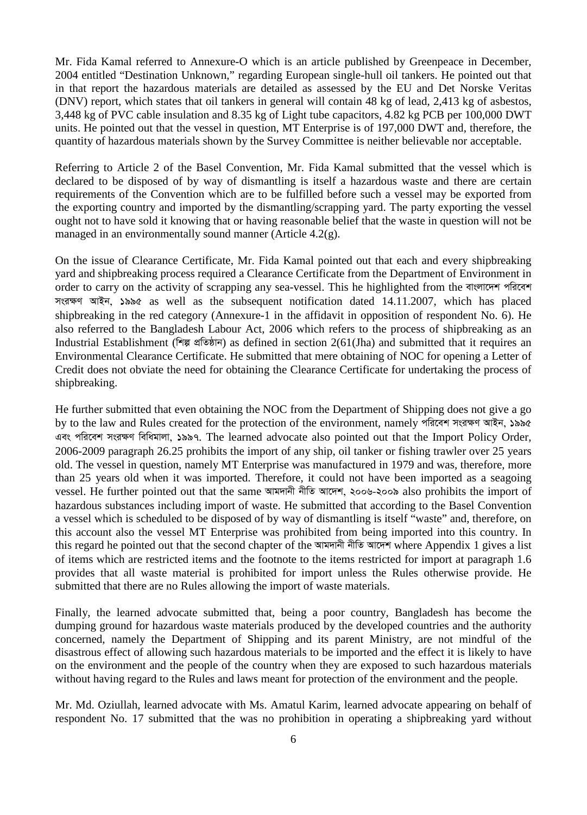Mr. Fida Kamal referred to Annexure-O which is an article published by Greenpeace in December, 2004 entitled "Destination Unknown," regarding European single-hull oil tankers. He pointed out that in that report the hazardous materials are detailed as assessed by the EU and Det Norske Veritas (DNV) report, which states that oil tankers in general will contain 48 kg of lead, 2,413 kg of asbestos, 3,448 kg of PVC cable insulation and 8.35 kg of Light tube capacitors, 4.82 kg PCB per 100,000 DWT units. He pointed out that the vessel in question, MT Enterprise is of 197,000 DWT and, therefore, the quantity of hazardous materials shown by the Survey Committee is neither believable nor acceptable.

Referring to Article 2 of the Basel Convention, Mr. Fida Kamal submitted that the vessel which is declared to be disposed of by way of dismantling is itself a hazardous waste and there are certain requirements of the Convention which are to be fulfilled before such a vessel may be exported from the exporting country and imported by the dismantling/scrapping yard. The party exporting the vessel ought not to have sold it knowing that or having reasonable belief that the waste in question will not be managed in an environmentally sound manner (Article 4.2(g).

On the issue of Clearance Certificate, Mr. Fida Kamal pointed out that each and every shipbreaking yard and shipbreaking process required a Clearance Certificate from the Department of Environment in order to carry on the activity of scrapping any sea-vessel. This he highlighted from the বাংলাদেশ পরিবেশ *msi¶Y AvBb, 1995* as well as the subsequent notification dated 14.11.2007, which has placed shipbreaking in the red category (Annexure-1 in the affidavit in opposition of respondent No. 6). He also referred to the Bangladesh Labour Act, 2006 which refers to the process of shipbreaking as an Industrial Establishment (শিল্প প্রতিষ্ঠান) as defined in section 2(61(Jha) and submitted that it requires an Environmental Clearance Certificate. He submitted that mere obtaining of NOC for opening a Letter of Credit does not obviate the need for obtaining the Clearance Certificate for undertaking the process of shipbreaking.

He further submitted that even obtaining the NOC from the Department of Shipping does not give a go by to the law and Rules created for the protection of the environment, namely পরিবেশ সংরক্ষণ আইন, ১৯৯৫ এবং পরিবেশ সংরক্ষণ বিধিমালা, ১৯৯৭. The learned advocate also pointed out that the Import Policy Order, 2006-2009 paragraph 26.25 prohibits the import of any ship, oil tanker or fishing trawler over 25 years old. The vessel in question, namely MT Enterprise was manufactured in 1979 and was, therefore, more than 25 years old when it was imported. Therefore, it could not have been imported as a seagoing vessel. He further pointed out that the same আমদানী নীতি আদেশ, ২০০৬-২০০৯ also prohibits the import of hazardous substances including import of waste. He submitted that according to the Basel Convention a vessel which is scheduled to be disposed of by way of dismantling is itself "waste" and, therefore, on this account also the vessel MT Enterprise was prohibited from being imported into this country. In this regard he pointed out that the second chapter of the আমদানী নীতি আদেশ where Appendix 1 gives a list of items which are restricted items and the footnote to the items restricted for import at paragraph 1.6 provides that all waste material is prohibited for import unless the Rules otherwise provide. He submitted that there are no Rules allowing the import of waste materials.

Finally, the learned advocate submitted that, being a poor country, Bangladesh has become the dumping ground for hazardous waste materials produced by the developed countries and the authority concerned, namely the Department of Shipping and its parent Ministry, are not mindful of the disastrous effect of allowing such hazardous materials to be imported and the effect it is likely to have on the environment and the people of the country when they are exposed to such hazardous materials without having regard to the Rules and laws meant for protection of the environment and the people.

Mr. Md. Oziullah, learned advocate with Ms. Amatul Karim, learned advocate appearing on behalf of respondent No. 17 submitted that the was no prohibition in operating a shipbreaking yard without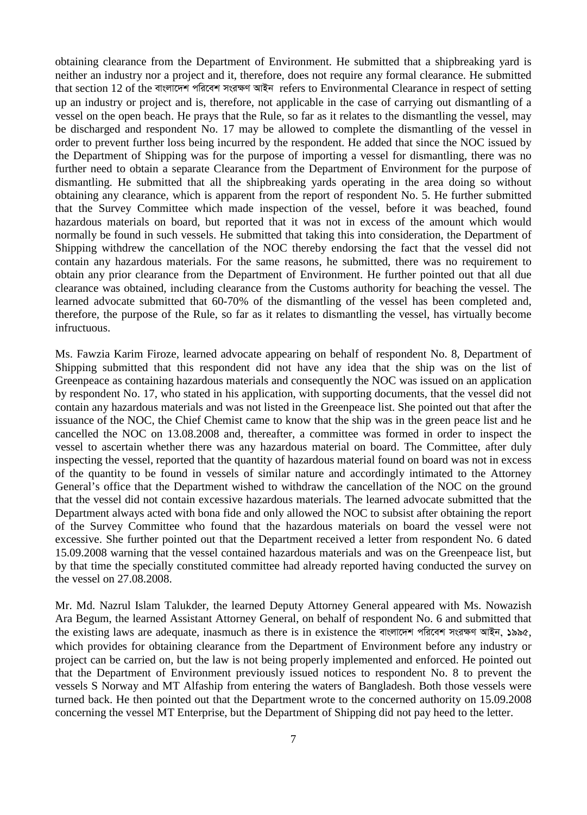obtaining clearance from the Department of Environment. He submitted that a shipbreaking yard is neither an industry nor a project and it, therefore, does not require any formal clearance. He submitted that section 12 of the বাংলাদেশ পরিবেশ সংরক্ষণ আইন refers to Environmental Clearance in respect of setting up an industry or project and is, therefore, not applicable in the case of carrying out dismantling of a vessel on the open beach. He prays that the Rule, so far as it relates to the dismantling the vessel, may be discharged and respondent No. 17 may be allowed to complete the dismantling of the vessel in order to prevent further loss being incurred by the respondent. He added that since the NOC issued by the Department of Shipping was for the purpose of importing a vessel for dismantling, there was no further need to obtain a separate Clearance from the Department of Environment for the purpose of dismantling. He submitted that all the shipbreaking yards operating in the area doing so without obtaining any clearance, which is apparent from the report of respondent No. 5. He further submitted that the Survey Committee which made inspection of the vessel, before it was beached, found hazardous materials on board, but reported that it was not in excess of the amount which would normally be found in such vessels. He submitted that taking this into consideration, the Department of Shipping withdrew the cancellation of the NOC thereby endorsing the fact that the vessel did not contain any hazardous materials. For the same reasons, he submitted, there was no requirement to obtain any prior clearance from the Department of Environment. He further pointed out that all due clearance was obtained, including clearance from the Customs authority for beaching the vessel. The learned advocate submitted that 60-70% of the dismantling of the vessel has been completed and, therefore, the purpose of the Rule, so far as it relates to dismantling the vessel, has virtually become infructuous.

Ms. Fawzia Karim Firoze, learned advocate appearing on behalf of respondent No. 8, Department of Shipping submitted that this respondent did not have any idea that the ship was on the list of Greenpeace as containing hazardous materials and consequently the NOC was issued on an application by respondent No. 17, who stated in his application, with supporting documents, that the vessel did not contain any hazardous materials and was not listed in the Greenpeace list. She pointed out that after the issuance of the NOC, the Chief Chemist came to know that the ship was in the green peace list and he cancelled the NOC on 13.08.2008 and, thereafter, a committee was formed in order to inspect the vessel to ascertain whether there was any hazardous material on board. The Committee, after duly inspecting the vessel, reported that the quantity of hazardous material found on board was not in excess of the quantity to be found in vessels of similar nature and accordingly intimated to the Attorney General's office that the Department wished to withdraw the cancellation of the NOC on the ground that the vessel did not contain excessive hazardous materials. The learned advocate submitted that the Department always acted with bona fide and only allowed the NOC to subsist after obtaining the report of the Survey Committee who found that the hazardous materials on board the vessel were not excessive. She further pointed out that the Department received a letter from respondent No. 6 dated 15.09.2008 warning that the vessel contained hazardous materials and was on the Greenpeace list, but by that time the specially constituted committee had already reported having conducted the survey on the vessel on 27.08.2008.

Mr. Md. Nazrul Islam Talukder, the learned Deputy Attorney General appeared with Ms. Nowazish Ara Begum, the learned Assistant Attorney General, on behalf of respondent No. 6 and submitted that the existing laws are adequate, inasmuch as there is in existence the বাংলাদেশ পরিবেশ সংরক্ষণ আইন, ১৯৯৫, which provides for obtaining clearance from the Department of Environment before any industry or project can be carried on, but the law is not being properly implemented and enforced. He pointed out that the Department of Environment previously issued notices to respondent No. 8 to prevent the vessels S Norway and MT Alfaship from entering the waters of Bangladesh. Both those vessels were turned back. He then pointed out that the Department wrote to the concerned authority on 15.09.2008 concerning the vessel MT Enterprise, but the Department of Shipping did not pay heed to the letter.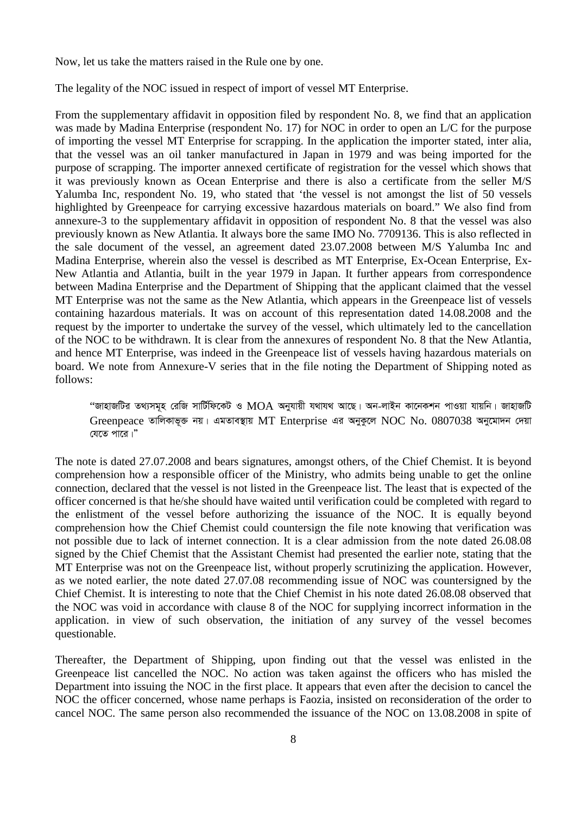Now, let us take the matters raised in the Rule one by one.

The legality of the NOC issued in respect of import of vessel MT Enterprise.

From the supplementary affidavit in opposition filed by respondent No. 8, we find that an application was made by Madina Enterprise (respondent No. 17) for NOC in order to open an L/C for the purpose of importing the vessel MT Enterprise for scrapping. In the application the importer stated, inter alia, that the vessel was an oil tanker manufactured in Japan in 1979 and was being imported for the purpose of scrapping. The importer annexed certificate of registration for the vessel which shows that it was previously known as Ocean Enterprise and there is also a certificate from the seller M/S Yalumba Inc, respondent No. 19, who stated that 'the vessel is not amongst the list of 50 vessels highlighted by Greenpeace for carrying excessive hazardous materials on board." We also find from annexure-3 to the supplementary affidavit in opposition of respondent No. 8 that the vessel was also previously known as New Atlantia. It always bore the same IMO No. 7709136. This is also reflected in the sale document of the vessel, an agreement dated 23.07.2008 between M/S Yalumba Inc and Madina Enterprise, wherein also the vessel is described as MT Enterprise, Ex-Ocean Enterprise, Ex-New Atlantia and Atlantia, built in the year 1979 in Japan. It further appears from correspondence between Madina Enterprise and the Department of Shipping that the applicant claimed that the vessel MT Enterprise was not the same as the New Atlantia, which appears in the Greenpeace list of vessels containing hazardous materials. It was on account of this representation dated 14.08.2008 and the request by the importer to undertake the survey of the vessel, which ultimately led to the cancellation of the NOC to be withdrawn. It is clear from the annexures of respondent No. 8 that the New Atlantia, and hence MT Enterprise, was indeed in the Greenpeace list of vessels having hazardous materials on board. We note from Annexure-V series that in the file noting the Department of Shipping noted as follows:

"জাহাজটির তথ্যসমূহ রেজি সার্টিফিকেট ও MOA অনুযায়ী যথাযথ আছে। অন-লাইন কানেকশন পাওয়া যায়নি। জাহাজটি Greenpeace তালিকাভূক্ত নয়। এমতাবস্থায় MT Enterprise এর অনুকুলে NOC No. 0807038 অনুমোদন দেয়া *†h‡Z cv‡i|Ó* 

The note is dated 27.07.2008 and bears signatures, amongst others, of the Chief Chemist. It is beyond comprehension how a responsible officer of the Ministry, who admits being unable to get the online connection, declared that the vessel is not listed in the Greenpeace list. The least that is expected of the officer concerned is that he/she should have waited until verification could be completed with regard to the enlistment of the vessel before authorizing the issuance of the NOC. It is equally beyond comprehension how the Chief Chemist could countersign the file note knowing that verification was not possible due to lack of internet connection. It is a clear admission from the note dated 26.08.08 signed by the Chief Chemist that the Assistant Chemist had presented the earlier note, stating that the MT Enterprise was not on the Greenpeace list, without properly scrutinizing the application. However, as we noted earlier, the note dated 27.07.08 recommending issue of NOC was countersigned by the Chief Chemist. It is interesting to note that the Chief Chemist in his note dated 26.08.08 observed that the NOC was void in accordance with clause 8 of the NOC for supplying incorrect information in the application. in view of such observation, the initiation of any survey of the vessel becomes questionable.

Thereafter, the Department of Shipping, upon finding out that the vessel was enlisted in the Greenpeace list cancelled the NOC. No action was taken against the officers who has misled the Department into issuing the NOC in the first place. It appears that even after the decision to cancel the NOC the officer concerned, whose name perhaps is Faozia, insisted on reconsideration of the order to cancel NOC. The same person also recommended the issuance of the NOC on 13.08.2008 in spite of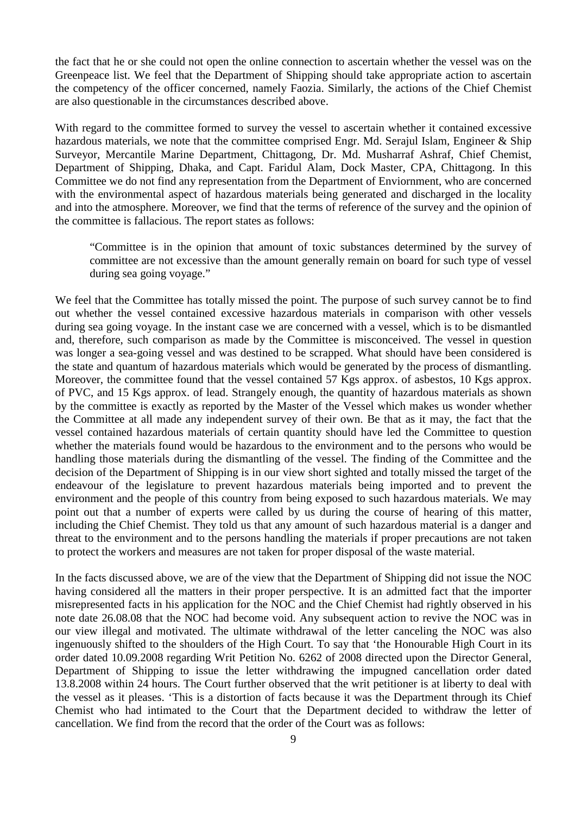the fact that he or she could not open the online connection to ascertain whether the vessel was on the Greenpeace list. We feel that the Department of Shipping should take appropriate action to ascertain the competency of the officer concerned, namely Faozia. Similarly, the actions of the Chief Chemist are also questionable in the circumstances described above.

With regard to the committee formed to survey the vessel to ascertain whether it contained excessive hazardous materials, we note that the committee comprised Engr. Md. Serajul Islam, Engineer & Ship Surveyor, Mercantile Marine Department, Chittagong, Dr. Md. Musharraf Ashraf, Chief Chemist, Department of Shipping, Dhaka, and Capt. Faridul Alam, Dock Master, CPA, Chittagong. In this Committee we do not find any representation from the Department of Enviornment, who are concerned with the environmental aspect of hazardous materials being generated and discharged in the locality and into the atmosphere. Moreover, we find that the terms of reference of the survey and the opinion of the committee is fallacious. The report states as follows:

"Committee is in the opinion that amount of toxic substances determined by the survey of committee are not excessive than the amount generally remain on board for such type of vessel during sea going voyage."

We feel that the Committee has totally missed the point. The purpose of such survey cannot be to find out whether the vessel contained excessive hazardous materials in comparison with other vessels during sea going voyage. In the instant case we are concerned with a vessel, which is to be dismantled and, therefore, such comparison as made by the Committee is misconceived. The vessel in question was longer a sea-going vessel and was destined to be scrapped. What should have been considered is the state and quantum of hazardous materials which would be generated by the process of dismantling. Moreover, the committee found that the vessel contained 57 Kgs approx. of asbestos, 10 Kgs approx. of PVC, and 15 Kgs approx. of lead. Strangely enough, the quantity of hazardous materials as shown by the committee is exactly as reported by the Master of the Vessel which makes us wonder whether the Committee at all made any independent survey of their own. Be that as it may, the fact that the vessel contained hazardous materials of certain quantity should have led the Committee to question whether the materials found would be hazardous to the environment and to the persons who would be handling those materials during the dismantling of the vessel. The finding of the Committee and the decision of the Department of Shipping is in our view short sighted and totally missed the target of the endeavour of the legislature to prevent hazardous materials being imported and to prevent the environment and the people of this country from being exposed to such hazardous materials. We may point out that a number of experts were called by us during the course of hearing of this matter, including the Chief Chemist. They told us that any amount of such hazardous material is a danger and threat to the environment and to the persons handling the materials if proper precautions are not taken to protect the workers and measures are not taken for proper disposal of the waste material.

In the facts discussed above, we are of the view that the Department of Shipping did not issue the NOC having considered all the matters in their proper perspective. It is an admitted fact that the importer misrepresented facts in his application for the NOC and the Chief Chemist had rightly observed in his note date 26.08.08 that the NOC had become void. Any subsequent action to revive the NOC was in our view illegal and motivated. The ultimate withdrawal of the letter canceling the NOC was also ingenuously shifted to the shoulders of the High Court. To say that 'the Honourable High Court in its order dated 10.09.2008 regarding Writ Petition No. 6262 of 2008 directed upon the Director General, Department of Shipping to issue the letter withdrawing the impugned cancellation order dated 13.8.2008 within 24 hours. The Court further observed that the writ petitioner is at liberty to deal with the vessel as it pleases. 'This is a distortion of facts because it was the Department through its Chief Chemist who had intimated to the Court that the Department decided to withdraw the letter of cancellation. We find from the record that the order of the Court was as follows: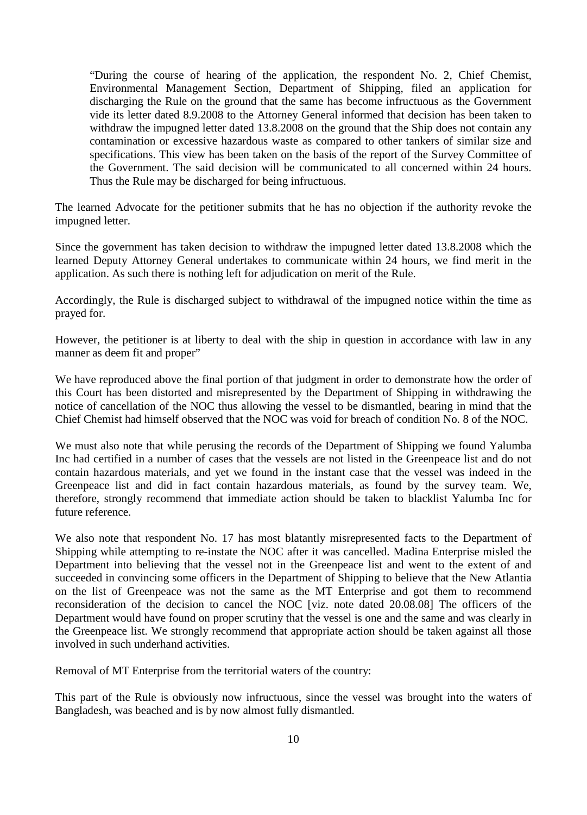"During the course of hearing of the application, the respondent No. 2, Chief Chemist, Environmental Management Section, Department of Shipping, filed an application for discharging the Rule on the ground that the same has become infructuous as the Government vide its letter dated 8.9.2008 to the Attorney General informed that decision has been taken to withdraw the impugned letter dated 13.8.2008 on the ground that the Ship does not contain any contamination or excessive hazardous waste as compared to other tankers of similar size and specifications. This view has been taken on the basis of the report of the Survey Committee of the Government. The said decision will be communicated to all concerned within 24 hours. Thus the Rule may be discharged for being infructuous.

The learned Advocate for the petitioner submits that he has no objection if the authority revoke the impugned letter.

Since the government has taken decision to withdraw the impugned letter dated 13.8.2008 which the learned Deputy Attorney General undertakes to communicate within 24 hours, we find merit in the application. As such there is nothing left for adjudication on merit of the Rule.

Accordingly, the Rule is discharged subject to withdrawal of the impugned notice within the time as prayed for.

However, the petitioner is at liberty to deal with the ship in question in accordance with law in any manner as deem fit and proper"

We have reproduced above the final portion of that judgment in order to demonstrate how the order of this Court has been distorted and misrepresented by the Department of Shipping in withdrawing the notice of cancellation of the NOC thus allowing the vessel to be dismantled, bearing in mind that the Chief Chemist had himself observed that the NOC was void for breach of condition No. 8 of the NOC.

We must also note that while perusing the records of the Department of Shipping we found Yalumba Inc had certified in a number of cases that the vessels are not listed in the Greenpeace list and do not contain hazardous materials, and yet we found in the instant case that the vessel was indeed in the Greenpeace list and did in fact contain hazardous materials, as found by the survey team. We, therefore, strongly recommend that immediate action should be taken to blacklist Yalumba Inc for future reference.

We also note that respondent No. 17 has most blatantly misrepresented facts to the Department of Shipping while attempting to re-instate the NOC after it was cancelled. Madina Enterprise misled the Department into believing that the vessel not in the Greenpeace list and went to the extent of and succeeded in convincing some officers in the Department of Shipping to believe that the New Atlantia on the list of Greenpeace was not the same as the MT Enterprise and got them to recommend reconsideration of the decision to cancel the NOC [viz. note dated 20.08.08] The officers of the Department would have found on proper scrutiny that the vessel is one and the same and was clearly in the Greenpeace list. We strongly recommend that appropriate action should be taken against all those involved in such underhand activities.

Removal of MT Enterprise from the territorial waters of the country:

This part of the Rule is obviously now infructuous, since the vessel was brought into the waters of Bangladesh, was beached and is by now almost fully dismantled.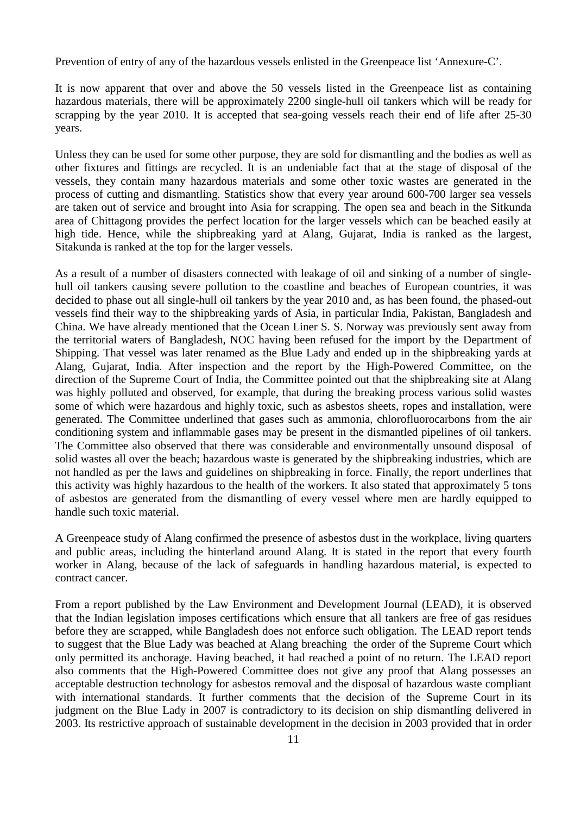Prevention of entry of any of the hazardous vessels enlisted in the Greenpeace list 'Annexure-C'.

It is now apparent that over and above the 50 vessels listed in the Greenpeace list as containing hazardous materials, there will be approximately 2200 single-hull oil tankers which will be ready for scrapping by the year 2010. It is accepted that sea-going vessels reach their end of life after 25-30 years.

Unless they can be used for some other purpose, they are sold for dismantling and the bodies as well as other fixtures and fittings are recycled. It is an undeniable fact that at the stage of disposal of the vessels, they contain many hazardous materials and some other toxic wastes are generated in the process of cutting and dismantling. Statistics show that every year around 600-700 larger sea vessels are taken out of service and brought into Asia for scrapping. The open sea and beach in the Sitkunda area of Chittagong provides the perfect location for the larger vessels which can be beached easily at high tide. Hence, while the shipbreaking yard at Alang, Gujarat, India is ranked as the largest, Sitakunda is ranked at the top for the larger vessels.

As a result of a number of disasters connected with leakage of oil and sinking of a number of singlehull oil tankers causing severe pollution to the coastline and beaches of European countries, it was decided to phase out all single-hull oil tankers by the year 2010 and, as has been found, the phased-out vessels find their way to the shipbreaking yards of Asia, in particular India, Pakistan, Bangladesh and China. We have already mentioned that the Ocean Liner S. S. Norway was previously sent away from the territorial waters of Bangladesh, NOC having been refused for the import by the Department of Shipping. That vessel was later renamed as the Blue Lady and ended up in the shipbreaking yards at Alang, Gujarat, India. After inspection and the report by the High-Powered Committee, on the direction of the Supreme Court of India, the Committee pointed out that the shipbreaking site at Alang was highly polluted and observed, for example, that during the breaking process various solid wastes some of which were hazardous and highly toxic, such as asbestos sheets, ropes and installation, were generated. The Committee underlined that gases such as ammonia, chlorofluorocarbons from the air conditioning system and inflammable gases may be present in the dismantled pipelines of oil tankers. The Committee also observed that there was considerable and environmentally unsound disposal of solid wastes all over the beach; hazardous waste is generated by the shipbreaking industries, which are not handled as per the laws and guidelines on shipbreaking in force. Finally, the report underlines that this activity was highly hazardous to the health of the workers. It also stated that approximately 5 tons of asbestos are generated from the dismantling of every vessel where men are hardly equipped to handle such toxic material.

A Greenpeace study of Alang confirmed the presence of asbestos dust in the workplace, living quarters and public areas, including the hinterland around Alang. It is stated in the report that every fourth worker in Alang, because of the lack of safeguards in handling hazardous material, is expected to contract cancer.

From a report published by the Law Environment and Development Journal (LEAD), it is observed that the Indian legislation imposes certifications which ensure that all tankers are free of gas residues before they are scrapped, while Bangladesh does not enforce such obligation. The LEAD report tends to suggest that the Blue Lady was beached at Alang breaching the order of the Supreme Court which only permitted its anchorage. Having beached, it had reached a point of no return. The LEAD report also comments that the High-Powered Committee does not give any proof that Alang possesses an acceptable destruction technology for asbestos removal and the disposal of hazardous waste compliant with international standards. It further comments that the decision of the Supreme Court in its judgment on the Blue Lady in 2007 is contradictory to its decision on ship dismantling delivered in 2003. Its restrictive approach of sustainable development in the decision in 2003 provided that in order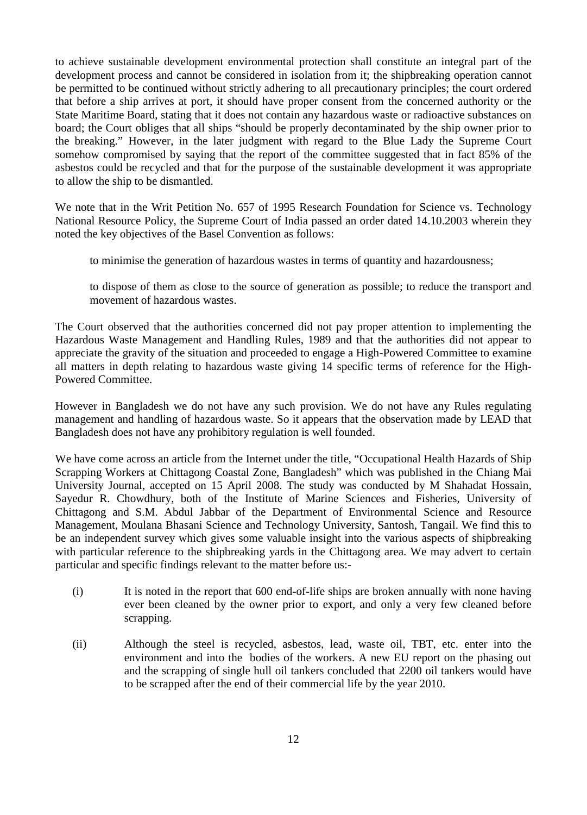to achieve sustainable development environmental protection shall constitute an integral part of the development process and cannot be considered in isolation from it; the shipbreaking operation cannot be permitted to be continued without strictly adhering to all precautionary principles; the court ordered that before a ship arrives at port, it should have proper consent from the concerned authority or the State Maritime Board, stating that it does not contain any hazardous waste or radioactive substances on board; the Court obliges that all ships "should be properly decontaminated by the ship owner prior to the breaking." However, in the later judgment with regard to the Blue Lady the Supreme Court somehow compromised by saying that the report of the committee suggested that in fact 85% of the asbestos could be recycled and that for the purpose of the sustainable development it was appropriate to allow the ship to be dismantled.

We note that in the Writ Petition No. 657 of 1995 Research Foundation for Science vs. Technology National Resource Policy, the Supreme Court of India passed an order dated 14.10.2003 wherein they noted the key objectives of the Basel Convention as follows:

to minimise the generation of hazardous wastes in terms of quantity and hazardousness;

to dispose of them as close to the source of generation as possible; to reduce the transport and movement of hazardous wastes.

The Court observed that the authorities concerned did not pay proper attention to implementing the Hazardous Waste Management and Handling Rules, 1989 and that the authorities did not appear to appreciate the gravity of the situation and proceeded to engage a High-Powered Committee to examine all matters in depth relating to hazardous waste giving 14 specific terms of reference for the High-Powered Committee.

However in Bangladesh we do not have any such provision. We do not have any Rules regulating management and handling of hazardous waste. So it appears that the observation made by LEAD that Bangladesh does not have any prohibitory regulation is well founded.

We have come across an article from the Internet under the title, "Occupational Health Hazards of Ship Scrapping Workers at Chittagong Coastal Zone, Bangladesh" which was published in the Chiang Mai University Journal, accepted on 15 April 2008. The study was conducted by M Shahadat Hossain, Sayedur R. Chowdhury, both of the Institute of Marine Sciences and Fisheries, University of Chittagong and S.M. Abdul Jabbar of the Department of Environmental Science and Resource Management, Moulana Bhasani Science and Technology University, Santosh, Tangail. We find this to be an independent survey which gives some valuable insight into the various aspects of shipbreaking with particular reference to the shipbreaking yards in the Chittagong area. We may advert to certain particular and specific findings relevant to the matter before us:-

- (i) It is noted in the report that 600 end-of-life ships are broken annually with none having ever been cleaned by the owner prior to export, and only a very few cleaned before scrapping.
- (ii) Although the steel is recycled, asbestos, lead, waste oil, TBT, etc. enter into the environment and into the bodies of the workers. A new EU report on the phasing out and the scrapping of single hull oil tankers concluded that 2200 oil tankers would have to be scrapped after the end of their commercial life by the year 2010.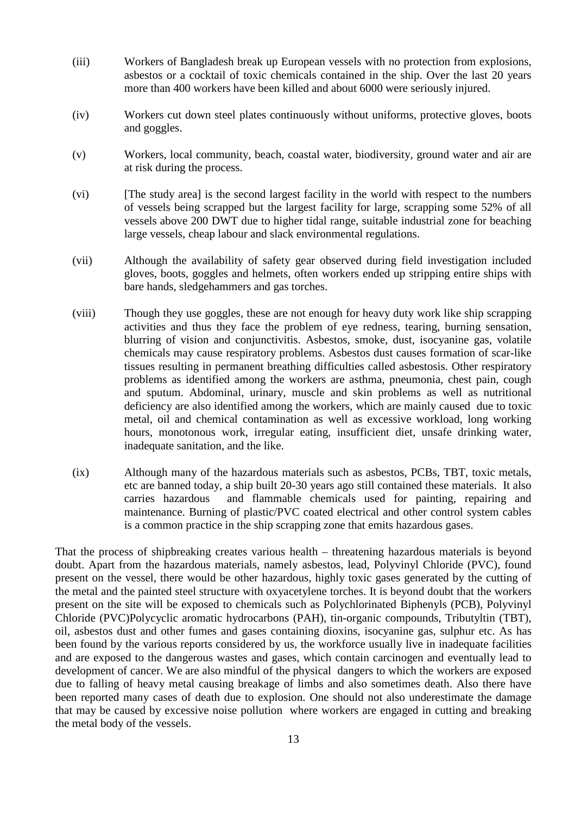- (iii) Workers of Bangladesh break up European vessels with no protection from explosions, asbestos or a cocktail of toxic chemicals contained in the ship. Over the last 20 years more than 400 workers have been killed and about 6000 were seriously injured.
- (iv) Workers cut down steel plates continuously without uniforms, protective gloves, boots and goggles.
- (v) Workers, local community, beach, coastal water, biodiversity, ground water and air are at risk during the process.
- (vi) [The study area] is the second largest facility in the world with respect to the numbers of vessels being scrapped but the largest facility for large, scrapping some 52% of all vessels above 200 DWT due to higher tidal range, suitable industrial zone for beaching large vessels, cheap labour and slack environmental regulations.
- (vii) Although the availability of safety gear observed during field investigation included gloves, boots, goggles and helmets, often workers ended up stripping entire ships with bare hands, sledgehammers and gas torches.
- (viii) Though they use goggles, these are not enough for heavy duty work like ship scrapping activities and thus they face the problem of eye redness, tearing, burning sensation, blurring of vision and conjunctivitis. Asbestos, smoke, dust, isocyanine gas, volatile chemicals may cause respiratory problems. Asbestos dust causes formation of scar-like tissues resulting in permanent breathing difficulties called asbestosis. Other respiratory problems as identified among the workers are asthma, pneumonia, chest pain, cough and sputum. Abdominal, urinary, muscle and skin problems as well as nutritional deficiency are also identified among the workers, which are mainly caused due to toxic metal, oil and chemical contamination as well as excessive workload, long working hours, monotonous work, irregular eating, insufficient diet, unsafe drinking water, inadequate sanitation, and the like.
- (ix) Although many of the hazardous materials such as asbestos, PCBs, TBT, toxic metals, etc are banned today, a ship built 20-30 years ago still contained these materials. It also carries hazardous and flammable chemicals used for painting, repairing and maintenance. Burning of plastic/PVC coated electrical and other control system cables is a common practice in the ship scrapping zone that emits hazardous gases.

That the process of shipbreaking creates various health – threatening hazardous materials is beyond doubt. Apart from the hazardous materials, namely asbestos, lead, Polyvinyl Chloride (PVC), found present on the vessel, there would be other hazardous, highly toxic gases generated by the cutting of the metal and the painted steel structure with oxyacetylene torches. It is beyond doubt that the workers present on the site will be exposed to chemicals such as Polychlorinated Biphenyls (PCB), Polyvinyl Chloride (PVC)Polycyclic aromatic hydrocarbons (PAH), tin-organic compounds, Tributyltin (TBT), oil, asbestos dust and other fumes and gases containing dioxins, isocyanine gas, sulphur etc. As has been found by the various reports considered by us, the workforce usually live in inadequate facilities and are exposed to the dangerous wastes and gases, which contain carcinogen and eventually lead to development of cancer. We are also mindful of the physical dangers to which the workers are exposed due to falling of heavy metal causing breakage of limbs and also sometimes death. Also there have been reported many cases of death due to explosion. One should not also underestimate the damage that may be caused by excessive noise pollution where workers are engaged in cutting and breaking the metal body of the vessels.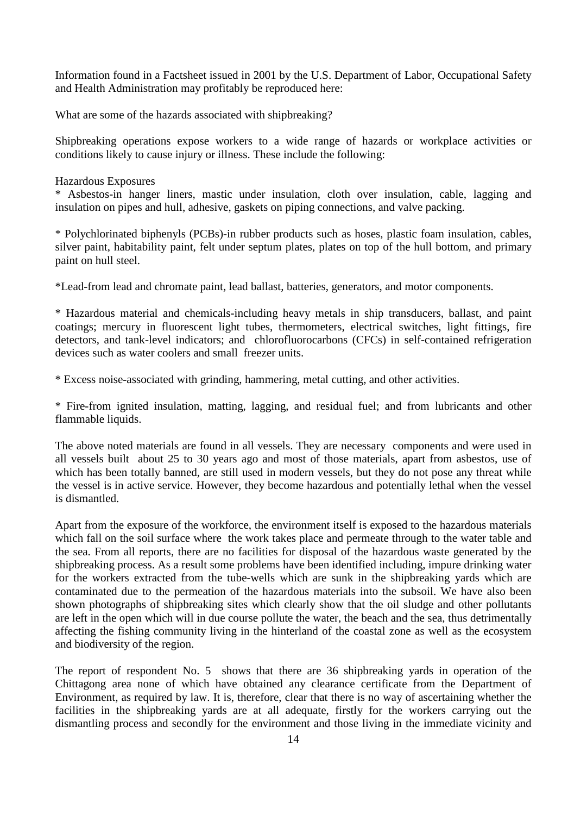Information found in a Factsheet issued in 2001 by the U.S. Department of Labor, Occupational Safety and Health Administration may profitably be reproduced here:

What are some of the hazards associated with shipbreaking?

Shipbreaking operations expose workers to a wide range of hazards or workplace activities or conditions likely to cause injury or illness. These include the following:

#### Hazardous Exposures

\* Asbestos-in hanger liners, mastic under insulation, cloth over insulation, cable, lagging and insulation on pipes and hull, adhesive, gaskets on piping connections, and valve packing.

\* Polychlorinated biphenyls (PCBs)-in rubber products such as hoses, plastic foam insulation, cables, silver paint, habitability paint, felt under septum plates, plates on top of the hull bottom, and primary paint on hull steel.

\*Lead-from lead and chromate paint, lead ballast, batteries, generators, and motor components.

\* Hazardous material and chemicals-including heavy metals in ship transducers, ballast, and paint coatings; mercury in fluorescent light tubes, thermometers, electrical switches, light fittings, fire detectors, and tank-level indicators; and chlorofluorocarbons (CFCs) in self-contained refrigeration devices such as water coolers and small freezer units.

\* Excess noise-associated with grinding, hammering, metal cutting, and other activities.

\* Fire-from ignited insulation, matting, lagging, and residual fuel; and from lubricants and other flammable liquids.

The above noted materials are found in all vessels. They are necessary components and were used in all vessels built about 25 to 30 years ago and most of those materials, apart from asbestos, use of which has been totally banned, are still used in modern vessels, but they do not pose any threat while the vessel is in active service. However, they become hazardous and potentially lethal when the vessel is dismantled.

Apart from the exposure of the workforce, the environment itself is exposed to the hazardous materials which fall on the soil surface where the work takes place and permeate through to the water table and the sea. From all reports, there are no facilities for disposal of the hazardous waste generated by the shipbreaking process. As a result some problems have been identified including, impure drinking water for the workers extracted from the tube-wells which are sunk in the shipbreaking yards which are contaminated due to the permeation of the hazardous materials into the subsoil. We have also been shown photographs of shipbreaking sites which clearly show that the oil sludge and other pollutants are left in the open which will in due course pollute the water, the beach and the sea, thus detrimentally affecting the fishing community living in the hinterland of the coastal zone as well as the ecosystem and biodiversity of the region.

The report of respondent No. 5 shows that there are 36 shipbreaking yards in operation of the Chittagong area none of which have obtained any clearance certificate from the Department of Environment, as required by law. It is, therefore, clear that there is no way of ascertaining whether the facilities in the shipbreaking yards are at all adequate, firstly for the workers carrying out the dismantling process and secondly for the environment and those living in the immediate vicinity and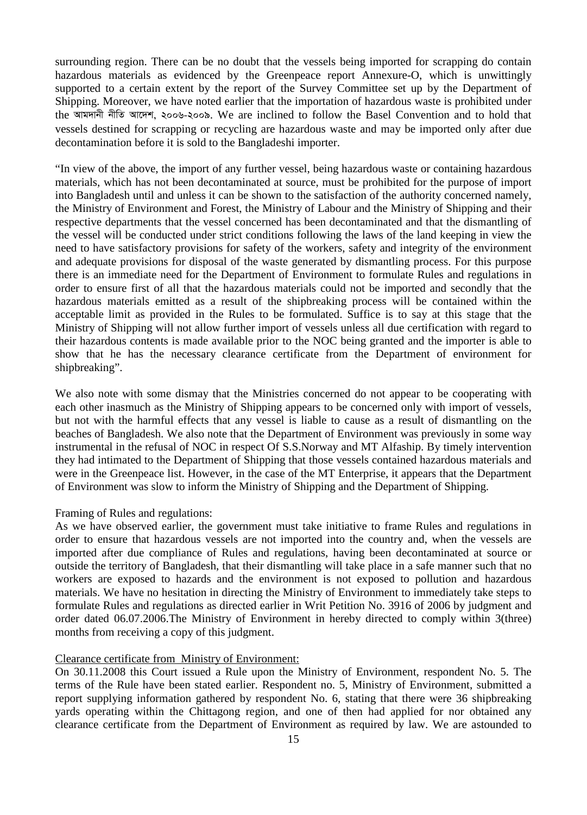surrounding region. There can be no doubt that the vessels being imported for scrapping do contain hazardous materials as evidenced by the Greenpeace report Annexure-O, which is unwittingly supported to a certain extent by the report of the Survey Committee set up by the Department of Shipping. Moreover, we have noted earlier that the importation of hazardous waste is prohibited under the আমদানী নীতি আদেশ, ২০০৬-২০০৯. We are inclined to follow the Basel Convention and to hold that vessels destined for scrapping or recycling are hazardous waste and may be imported only after due decontamination before it is sold to the Bangladeshi importer.

"In view of the above, the import of any further vessel, being hazardous waste or containing hazardous materials, which has not been decontaminated at source, must be prohibited for the purpose of import into Bangladesh until and unless it can be shown to the satisfaction of the authority concerned namely, the Ministry of Environment and Forest, the Ministry of Labour and the Ministry of Shipping and their respective departments that the vessel concerned has been decontaminated and that the dismantling of the vessel will be conducted under strict conditions following the laws of the land keeping in view the need to have satisfactory provisions for safety of the workers, safety and integrity of the environment and adequate provisions for disposal of the waste generated by dismantling process. For this purpose there is an immediate need for the Department of Environment to formulate Rules and regulations in order to ensure first of all that the hazardous materials could not be imported and secondly that the hazardous materials emitted as a result of the shipbreaking process will be contained within the acceptable limit as provided in the Rules to be formulated. Suffice is to say at this stage that the Ministry of Shipping will not allow further import of vessels unless all due certification with regard to their hazardous contents is made available prior to the NOC being granted and the importer is able to show that he has the necessary clearance certificate from the Department of environment for shipbreaking".

We also note with some dismay that the Ministries concerned do not appear to be cooperating with each other inasmuch as the Ministry of Shipping appears to be concerned only with import of vessels, but not with the harmful effects that any vessel is liable to cause as a result of dismantling on the beaches of Bangladesh. We also note that the Department of Environment was previously in some way instrumental in the refusal of NOC in respect Of S.S.Norway and MT Alfaship. By timely intervention they had intimated to the Department of Shipping that those vessels contained hazardous materials and were in the Greenpeace list. However, in the case of the MT Enterprise, it appears that the Department of Environment was slow to inform the Ministry of Shipping and the Department of Shipping.

#### Framing of Rules and regulations:

As we have observed earlier, the government must take initiative to frame Rules and regulations in order to ensure that hazardous vessels are not imported into the country and, when the vessels are imported after due compliance of Rules and regulations, having been decontaminated at source or outside the territory of Bangladesh, that their dismantling will take place in a safe manner such that no workers are exposed to hazards and the environment is not exposed to pollution and hazardous materials. We have no hesitation in directing the Ministry of Environment to immediately take steps to formulate Rules and regulations as directed earlier in Writ Petition No. 3916 of 2006 by judgment and order dated 06.07.2006.The Ministry of Environment in hereby directed to comply within 3(three) months from receiving a copy of this judgment.

#### Clearance certificate from Ministry of Environment:

On 30.11.2008 this Court issued a Rule upon the Ministry of Environment, respondent No. 5. The terms of the Rule have been stated earlier. Respondent no. 5, Ministry of Environment, submitted a report supplying information gathered by respondent No. 6, stating that there were 36 shipbreaking yards operating within the Chittagong region, and one of then had applied for nor obtained any clearance certificate from the Department of Environment as required by law. We are astounded to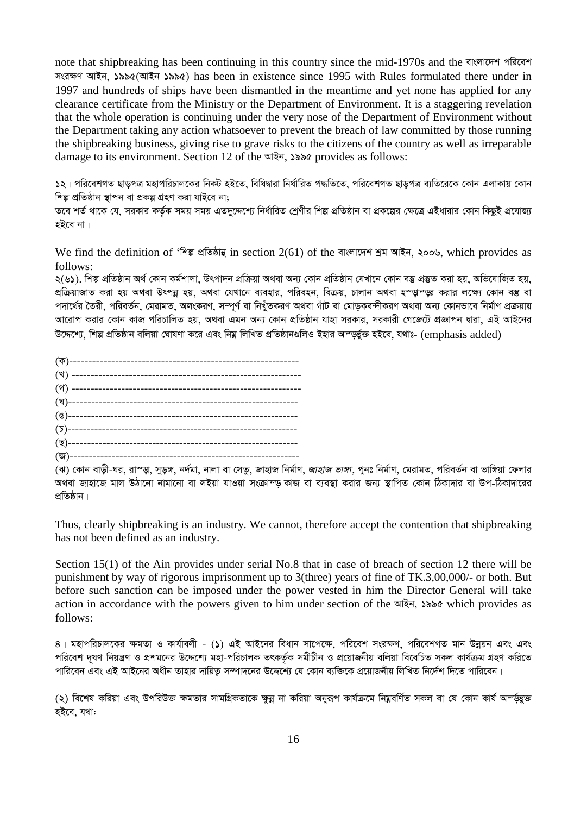note that shipbreaking has been continuing in this country since the mid-1970s and the বাংলাদেশ পরিবেশ *msi¶Y AvBb, 1995(AvBb 1995)* has been in existence since 1995 with Rules formulated there under in 1997 and hundreds of ships have been dismantled in the meantime and yet none has applied for any clearance certificate from the Ministry or the Department of Environment. It is a staggering revelation that the whole operation is continuing under the very nose of the Department of Environment without the Department taking any action whatsoever to prevent the breach of law committed by those running the shipbreaking business, giving rise to grave risks to the citizens of the country as well as irreparable damage to its environment. Section 12 of the আইন, ১৯৯৫ provides as follows:

**১**২। পরিবেশগত ছাড়পত্র মহাপরিচালকের নিকট হইতে, বিধিদ্বারা নির্ধারিত পদ্ধতিতে, পরিবেশগত ছাড়পত্র ব্যতিরেকে কোন এলাকায় কোন *শিল্প প্ৰতিষ্ঠান স্থাপন বা প্ৰকল্প গ্ৰহণ করা যাইবে না;* 

তবে শর্ত থাকে যে, সরকার কর্তৃক সময় সময় এতদুদ্দেশ্যে নির্ধারিত শ্রেণীর শিল্প প্রতিষ্ঠান বা প্রকল্পের ক্ষেত্রে এইধারার কোন কিছুই প্রযোজ্য হইবে না।

We find the definition of 'শিল্প প্ৰতিষ্ঠান্থ in section 2(61) of the বাংলাদেশ শ্ৰম আইন, ২০০৬, which provides as follows:

২(৬১), শিল্প প্ৰতিষ্ঠান অৰ্থ কোন কৰ্মশালা, উৎপাদন প্ৰক্ৰিয়া অথবা অন্য কোন প্ৰতিষ্ঠান যেখানে কোন বস্তু প্ৰস্তুত করা হয়, অভিযোজিত হয়, প্রক্রিয়াজাত করা হয় অথবা উৎপন্ন হয়, অথবা যেখানে ব্যবহার, পরিবহন, বিক্রয়, চালান অথবা হস্ত্ত্বস্তু করার লক্ষ্যে কোন বম্ভ বা পদার্থের তৈরী, পরিবর্তন, মেরামত, অলংকরণ, সম্পূর্ণ বা নিখুঁতকরণ অথবা গাঁট বা মোড়কবন্দীকরণ অথবা অন্য কোনভাবে নির্মাণ প্রক্রয়ায় সারোপ করার কোন কাজ পরিচালিত হয়, অথবা এমন অন্য কোন প্রতিষ্ঠান যাহা সরকার, সরকারী গেজেটে প্রজ্ঞাপন দ্বারা, এই আইনের *D‡Ï‡k¨, wkí cÖwZôvb ewjqv †NvlYv K‡i Ges wbgœ wjwLZ cÖwZôvb¸wjI Bnvi Aš—f©y³ nB‡e, h\_vt-* (emphasis added)

*(*ঝ) কোন বাড়ী-ঘর, রাস্ডু, সুড়ঙ্গ, নর্দমা, নালা বা সেতু, জাহাজ নির্মাণ, *জাহাজ ভাঙ্গা,* পুনঃ নির্মাণ, মেরামত, পরিবর্তন বা ভাঙ্গিয়া ফেলার *A\_ev Rvnv‡R gvj DVv‡bv bvgv‡bv ev jBqv hvIqv msµvš— KvR ev e¨e¯'v Kivi Rb¨ ¯'vwcZ †Kvb wVKv`vi ev Dc-wVKv`v‡ii*  প্ৰতিষ্ঠান।

Thus, clearly shipbreaking is an industry. We cannot, therefore accept the contention that shipbreaking has not been defined as an industry.

Section 15(1) of the Ain provides under serial No.8 that in case of breach of section 12 there will be punishment by way of rigorous imprisonment up to 3(three) years of fine of TK.3,00,000/- or both. But before such sanction can be imposed under the power vested in him the Director General will take action in accordance with the powers given to him under section of the **মাইন, ১৯৯৫** which provides as follows:

*4| gnvcwiPvj‡Ki ¶gZv I Kvh©vejx|- (1) GB AvB‡bi weavb mv‡c‡¶, cwi‡ek msi¶Y, cwi‡ekMZ gvb Dbœqb Ges Ges*  পরিবেশ দূষণ নিয়ন্ত্রণ ও প্রশমনের উদ্দেশ্যে মহা-পরিচালক তৎকর্তৃক সমীচীন ও প্রয়োজনীয় বলিয়া বিবেচিত সকল কার্যক্রম গ্রহণ করিতে পারিবেন এবং এই আইনের অধীন তাহার দায়িত সম্পাদনের উদ্দেশ্যে যে কোন ব্যক্তিকে প্রয়োজনীয় লিখিত নির্দেশ দিতে পারিবেন।

(২) বিশেষ করিয়া এবং উপরিউক্ত ক্ষমতার সামগ্রিকতাকে ক্ষুন্ন না করিয়া অনুরূপ কার্যক্রমে নিয়ুবর্ণিত সকল বা যে কোন কার্য অ*ম্*ডভুক্ত হইবে, যথা: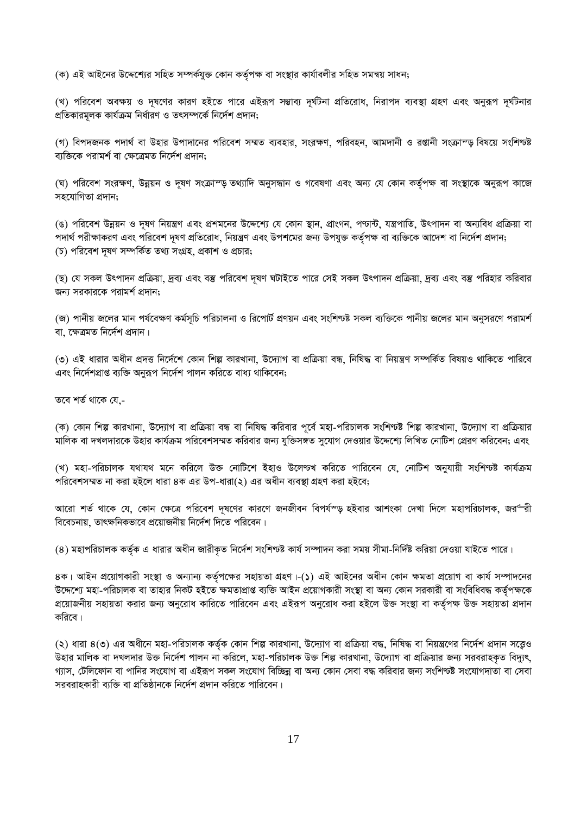(ক) এই আইনের উদ্দেশ্যের সহিত সম্পর্কযুক্ত কোন কর্তৃপক্ষ বা সংস্থার কার্যাবলীর সহিত সমন্বয় সাধন;

(খ) পরিবেশ অবক্ষয় ও দূষণের কারণ হইতে পারে এইরূপ সম্ভাব্য দূর্ঘটনা প্রতিরোধ, নিরাপদ ব্যবস্থা গ্রহণ এবং অনুরূপ দূর্ঘটনার *প্র*তিকারমূলক কার্যক্রম নির্ধারণ ও তৎসম্পর্কে নির্দেশ প্রদান;

(গ) বিপদজনক পদার্থ বা উহার উপাদানের পরিবেশ সম্মত ব্যবহার, সংরক্ষণ, পরিবহন, আমদানী ও রপ্তানী সংক্রাম্ড় বিষয়ে সংশিণ্<del>ট</del>্ট *বা*ক্তিকে পৱামৰ্শ বা ক্ষেত্ৰেমত নিৰ্দেশ প্ৰদান:

*(*ঘ) পরিবেশ সংরক্ষণ, উন্নয়ন ও দূষণ সংক্রাম্ড় তথ্যাদি অনুসন্ধান ও গবেষণা এবং অন্য যে কোন কর্তৃপক্ষ বা সংস্থাকে অনুরূপ কাজে সহযোগিতা প্ৰদান;

*(*ঙ) পরিবেশ উন্নয়ন ও দূষণ নিয়ন্ত্রণ এবং প্রশমনের উদ্দেশ্যে যে কোন স্থান, প্রাংগন, পণ্ডান্ট, যন্ত্রপাতি, উৎপাদন বা অন্যবিধ প্রক্রিয়া বা পদার্থ পরীক্ষাকরণ এবং পরিবেশ দূষণ প্রতিরোধ, নিয়ন্ত্রণ এবং উপশমের জন্য উপযুক্ত কর্তৃপক্ষ বা ব্যক্তিকে আদেশ বা নির্দেশ প্রদান; (চ) পরিবেশ দূষণ সম্পর্কিত তথ্য সংগ্রহ, প্রকাশ ও প্রচার;

*(*ছ) যে সকল উৎপাদন প্ৰক্ৰিয়া, দ্ৰব্য এবং বস্তু পরিবেশ দূষণ ঘটাইতে পারে সেই সকল উৎপাদন প্ৰক্ৰিয়া, দ্ৰব্য এবং বস্তু পরিহার করিবার *জন্য সরকারকে পরামর্শ প্রদান*;

*(*জ) পানীয় জলের মান পর্যবেক্ষণ কর্মসূচি পরিচালনা ও রিপোর্ট প্রণয়ন এবং সংশিণ্যষ্ট সকল ব্যক্তিকে পানীয় জলের মান অনুসরণে পরামর্শ বা, ক্ষেত্ৰমত নিৰ্দেশ প্ৰদান।

(৩) এই ধারার অধীন প্রদত্ত নির্দেশে কোন শিল্প কারখানা, উদ্যোগ বা প্রক্রিয়া বন্ধ, নিষিদ্ধ বা নিয়ন্ত্রণ সম্পর্কিত বিষয়ও থাকিতে পারিবে এবং নিৰ্দেশপ্ৰাপ্ত ব্যক্তি অনুরূপ নিৰ্দেশ পালন করিতে বাধ্য থাকিবেন;

তবে শৰ্ত থাকে যে,-

*(*ক) কোন শিল্প কারখানা, উদ্যোগ বা প্রক্রিয়া বন্ধ বা নিষিদ্ধ করিবার পূর্বে মহা-পরিচালক সংশিণ্যষ্ট শিল্প কারখানা, উদ্যোগ বা প্রক্রিয়ার মালিক বা দখলদারকে উহার কার্যক্রম পরিবেশসম্মত করিবার জন্য যুক্তিসঙ্গত সুযোগ দেওয়ার উদ্দেশ্যে লিখিত নোটিশ প্রেরণ করিবেন; এবং

*(*খ) মহা-পরিচালক যথাযথ মনে করিলে উক্ত নোটিশে ইহাও উলেণ্চখ করিতে পারিবেন যে, নোটিশ অনুযায়ী সংশিণ্টষ কার্যক্রম পরিবেশসম্মত না করা হইলে ধারা ৪ক এর উপ-ধারা(২) এর অধীন ব্যবস্থা গ্রহণ করা হইবে;

*Av‡iv kZ© \_v‡K †h, †Kvb †¶‡Î cwi‡ek `~l‡Yi Kvi‡Y RbRxeb wech©¯— nBevi AvksKv †`Lv w`‡j gnvcwiPvjK, Ri"ix বিবে*চনায়, তাৎক্ষনিকভাবে প্রয়োজনীয় নির্দেশ দিতে পরিবেন।

(৪) মহাপরিচালক কর্তৃক এ ধারার অধীন জারীকৃত নির্দেশ সংশিণ্যষ্ট কার্য সম্পাদন করা সময় সীমা-নির্দিষ্ট করিয়া দেওয়া যাইতে পারে।

8ক। আইন প্রয়োগকারী সংস্থা ও অন্যান্য কর্তৃপক্ষের সহায়তা গ্রহণ।-(১) এই আইনের অধীন কোন ক্ষমতা প্রয়োগ বা কার্য সম্পাদনের উদ্দেশ্যে মহা-পরিচালক বা তাহার নিকট হইতে ক্ষমতাপ্রাপ্ত ব্যক্তি আইন প্রয়োগকারী সংস্থা বা অন্য কোন সরকারী বা সংবিধিবদ্ধ কর্তৃপক্ষকে প্রয়োজনীয় সহায়তা করার জন্য অনুরোধ কারিতে পারিবেন এবং এইরূপ অনুরোধ করা হইলে উক্ত সংস্থা বা কর্তৃপক্ষ উক্ত সহায়তা প্রদান কৱিবে <sub>|</sub>

(২) ধারা ৪(৩) এর অধীনে মহা-পরিচালক কর্তৃক কোন শিল্প কারখানা, উদ্যোগ বা প্রক্রিয়া বদ্ধ, নিষিদ্ধ বা নিয়ন্ত্রণের নির্দেশ প্রদান সত্ত্বেও উহার মালিক বা দখলদার উক্ত নির্দেশ পালন না করিলে, মহা-পরিচালক উক্ত শিল্প কারখানা, উদ্যোগ বা প্রক্রিয়ার জন্য সরবরাহকৃত বিদ্যুৎ, গ্যাস, টেলিফোন বা পানির সংযোগ বা এইরূপ সকল সংযোগ বিচ্ছিন্ন বা অন্য কোন সেবা বদ্ধ করিবার জন্য সংশিণ্যষ্ট সংযোগদাতা বা সেবা সরবরাহকারী ব্যক্তি বা প্রতিষ্ঠানকে নির্দেশ প্রদান করিতে পারিবেন।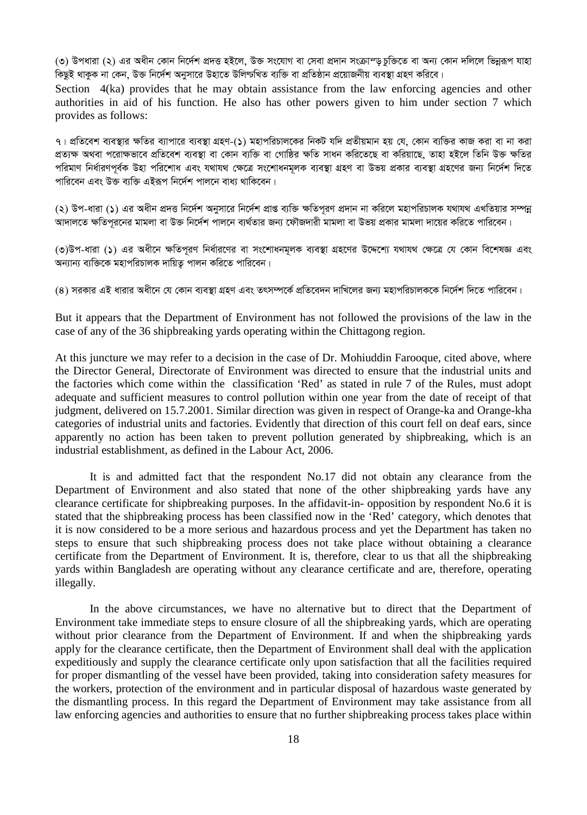*(*৩) উপধারা (২) এর অধীন কোন নির্দেশ প্রদত্ত হইলে, উক্ত সংযোগ বা সেবা প্রদান সংক্রাম্ড চক্তিতে বা অন্য কোন দলিলে ভিন্নরূপ যাহা কিছুই থাকুক না কেন. উক্ত নির্দেশ অনুসারে উহাতে উলিণ্টখিত ব্যক্তি বা প্রতিষ্ঠান প্রয়োজনীয় ব্যবস্থা গ্রহণ করিবে।

Section 4(ka) provides that he may obtain assistance from the law enforcing agencies and other authorities in aid of his function. He also has other powers given to him under section 7 which provides as follows:

*7| cÖwZ‡ek e¨e¯'vi ¶wZi e¨vcv‡i e¨e¯'v MÖnY-(1) gnvcwiPvj‡Ki wbKU hw` cÖZxqgvb nq †h, †Kvb e¨w³i KvR Kiv ev bv Kiv*  প্রত্যক্ষ অথবা পরোক্ষভাবে প্রতিবেশ ব্যবস্থা বা কোন ব্যক্তি বা গোষ্ঠির ক্ষতি সাধন করিতেছে বা করিয়াছে. তাহা হইলে তিনি উক্ত ক্ষতির পরিমাণ নির্ধারণপর্বক উহা পরিশোধ এবং যথাযথ ক্ষেত্রে সংশোধনমূলক ব্যবস্থা গ্রহণ বা উভয় প্রকার ব্যবস্থা গ্রহণের জন্য নির্দেশ দিতে <u>পারিবেন এবং উক্ত ব্যক্তি এইরূপ নির্দেশ পালনে বাধ্য থাকিবেন।</u>

(২) উপ-ধারা (**১**) এর অধীন প্রদত্ত নির্দেশ অনুসারে নির্দেশ প্রাপ্ত ব্যক্তি ক্ষতিপূরণ প্রদান না করিলে মহাপরিচালক যথাযথ এখতিয়ার সম্পন্ন আদালতে ক্ষতিপুরনের মামলা বা উক্ত নির্দেশ পালনে ব্যর্থতার জন্য ফৌজদারী মামলা বা উভয় প্রকার মামলা দায়ের করিতে পারিবেন।

(৩)উপ-ধারা (১) এর অধীনে ক্ষতিপূরণ নির্ধারণের বা সংশোধনমূলক ব্যবস্থা গ্রহণের উদ্দেশ্যে যথাযথ ক্ষেত্রে যে কোন বিশেষজ্ঞ এবং অন্যান্য ব্যক্তিকে মহাপরিচালক দায়িত্<mark>যু</mark> পালন করিতে পারিবেন।

(৪) সরকার এই ধারার অধীনে যে কোন ব্যবস্থা গ্রহণ এবং তৎসম্পর্কে প্রতিবেদন দাখিলের জন্য মহাপরিচালককে নির্দেশ দিতে পারিবেন।

But it appears that the Department of Environment has not followed the provisions of the law in the case of any of the 36 shipbreaking yards operating within the Chittagong region.

At this juncture we may refer to a decision in the case of Dr. Mohiuddin Farooque, cited above, where the Director General, Directorate of Environment was directed to ensure that the industrial units and the factories which come within the classification 'Red' as stated in rule 7 of the Rules, must adopt adequate and sufficient measures to control pollution within one year from the date of receipt of that judgment, delivered on 15.7.2001. Similar direction was given in respect of Orange-ka and Orange-kha categories of industrial units and factories. Evidently that direction of this court fell on deaf ears, since apparently no action has been taken to prevent pollution generated by shipbreaking, which is an industrial establishment, as defined in the Labour Act, 2006.

It is and admitted fact that the respondent No.17 did not obtain any clearance from the Department of Environment and also stated that none of the other shipbreaking yards have any clearance certificate for shipbreaking purposes. In the affidavit-in- opposition by respondent No.6 it is stated that the shipbreaking process has been classified now in the 'Red' category, which denotes that it is now considered to be a more serious and hazardous process and yet the Department has taken no steps to ensure that such shipbreaking process does not take place without obtaining a clearance certificate from the Department of Environment. It is, therefore, clear to us that all the shipbreaking yards within Bangladesh are operating without any clearance certificate and are, therefore, operating illegally.

In the above circumstances, we have no alternative but to direct that the Department of Environment take immediate steps to ensure closure of all the shipbreaking yards, which are operating without prior clearance from the Department of Environment. If and when the shipbreaking yards apply for the clearance certificate, then the Department of Environment shall deal with the application expeditiously and supply the clearance certificate only upon satisfaction that all the facilities required for proper dismantling of the vessel have been provided, taking into consideration safety measures for the workers, protection of the environment and in particular disposal of hazardous waste generated by the dismantling process. In this regard the Department of Environment may take assistance from all law enforcing agencies and authorities to ensure that no further shipbreaking process takes place within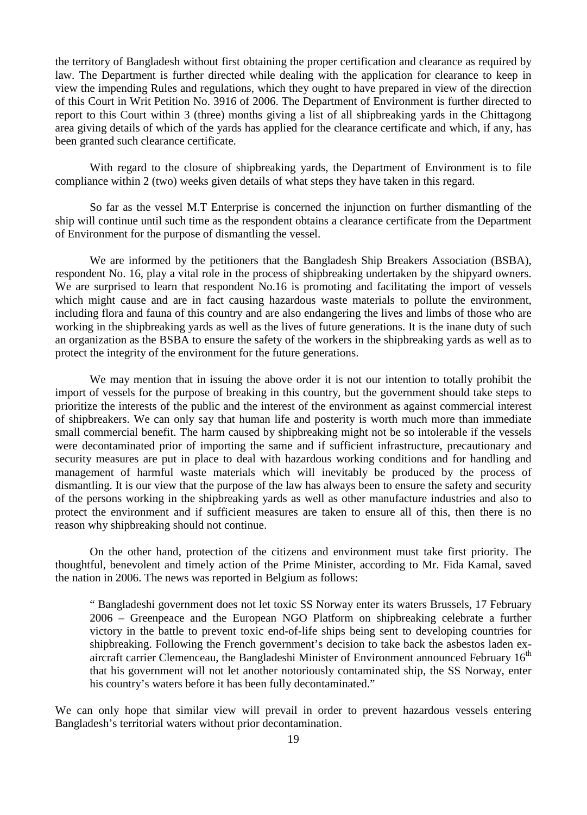the territory of Bangladesh without first obtaining the proper certification and clearance as required by law. The Department is further directed while dealing with the application for clearance to keep in view the impending Rules and regulations, which they ought to have prepared in view of the direction of this Court in Writ Petition No. 3916 of 2006. The Department of Environment is further directed to report to this Court within 3 (three) months giving a list of all shipbreaking yards in the Chittagong area giving details of which of the yards has applied for the clearance certificate and which, if any, has been granted such clearance certificate.

With regard to the closure of shipbreaking yards, the Department of Environment is to file compliance within 2 (two) weeks given details of what steps they have taken in this regard.

So far as the vessel M.T Enterprise is concerned the injunction on further dismantling of the ship will continue until such time as the respondent obtains a clearance certificate from the Department of Environment for the purpose of dismantling the vessel.

We are informed by the petitioners that the Bangladesh Ship Breakers Association (BSBA), respondent No. 16, play a vital role in the process of shipbreaking undertaken by the shipyard owners. We are surprised to learn that respondent No.16 is promoting and facilitating the import of vessels which might cause and are in fact causing hazardous waste materials to pollute the environment, including flora and fauna of this country and are also endangering the lives and limbs of those who are working in the shipbreaking yards as well as the lives of future generations. It is the inane duty of such an organization as the BSBA to ensure the safety of the workers in the shipbreaking yards as well as to protect the integrity of the environment for the future generations.

We may mention that in issuing the above order it is not our intention to totally prohibit the import of vessels for the purpose of breaking in this country, but the government should take steps to prioritize the interests of the public and the interest of the environment as against commercial interest of shipbreakers. We can only say that human life and posterity is worth much more than immediate small commercial benefit. The harm caused by shipbreaking might not be so intolerable if the vessels were decontaminated prior of importing the same and if sufficient infrastructure, precautionary and security measures are put in place to deal with hazardous working conditions and for handling and management of harmful waste materials which will inevitably be produced by the process of dismantling. It is our view that the purpose of the law has always been to ensure the safety and security of the persons working in the shipbreaking yards as well as other manufacture industries and also to protect the environment and if sufficient measures are taken to ensure all of this, then there is no reason why shipbreaking should not continue.

On the other hand, protection of the citizens and environment must take first priority. The thoughtful, benevolent and timely action of the Prime Minister, according to Mr. Fida Kamal, saved the nation in 2006. The news was reported in Belgium as follows:

" Bangladeshi government does not let toxic SS Norway enter its waters Brussels, 17 February 2006 – Greenpeace and the European NGO Platform on shipbreaking celebrate a further victory in the battle to prevent toxic end-of-life ships being sent to developing countries for shipbreaking. Following the French government's decision to take back the asbestos laden exaircraft carrier Clemenceau, the Bangladeshi Minister of Environment announced February  $16<sup>th</sup>$ that his government will not let another notoriously contaminated ship, the SS Norway, enter his country's waters before it has been fully decontaminated."

We can only hope that similar view will prevail in order to prevent hazardous vessels entering Bangladesh's territorial waters without prior decontamination.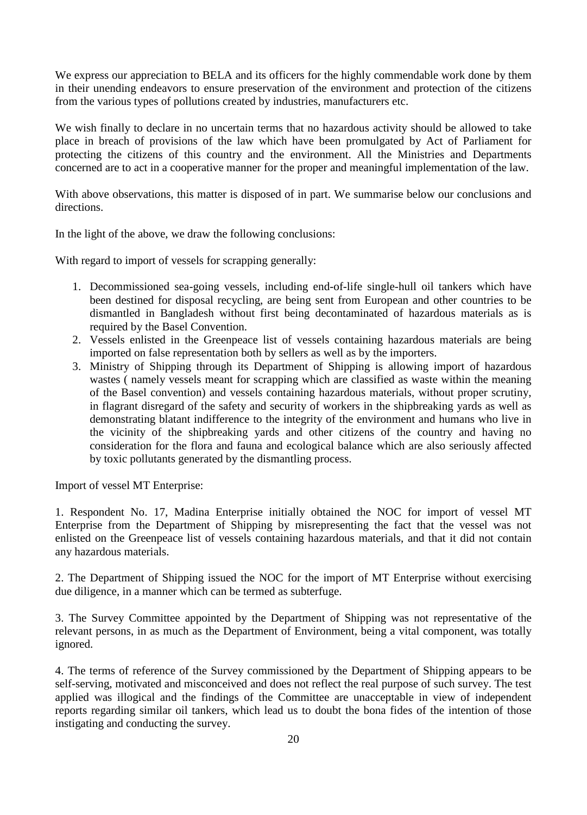We express our appreciation to BELA and its officers for the highly commendable work done by them in their unending endeavors to ensure preservation of the environment and protection of the citizens from the various types of pollutions created by industries, manufacturers etc.

We wish finally to declare in no uncertain terms that no hazardous activity should be allowed to take place in breach of provisions of the law which have been promulgated by Act of Parliament for protecting the citizens of this country and the environment. All the Ministries and Departments concerned are to act in a cooperative manner for the proper and meaningful implementation of the law.

With above observations, this matter is disposed of in part. We summarise below our conclusions and directions.

In the light of the above, we draw the following conclusions:

With regard to import of vessels for scrapping generally:

- 1. Decommissioned sea-going vessels, including end-of-life single-hull oil tankers which have been destined for disposal recycling, are being sent from European and other countries to be dismantled in Bangladesh without first being decontaminated of hazardous materials as is required by the Basel Convention.
- 2. Vessels enlisted in the Greenpeace list of vessels containing hazardous materials are being imported on false representation both by sellers as well as by the importers.
- 3. Ministry of Shipping through its Department of Shipping is allowing import of hazardous wastes ( namely vessels meant for scrapping which are classified as waste within the meaning of the Basel convention) and vessels containing hazardous materials, without proper scrutiny, in flagrant disregard of the safety and security of workers in the shipbreaking yards as well as demonstrating blatant indifference to the integrity of the environment and humans who live in the vicinity of the shipbreaking yards and other citizens of the country and having no consideration for the flora and fauna and ecological balance which are also seriously affected by toxic pollutants generated by the dismantling process.

Import of vessel MT Enterprise:

1. Respondent No. 17, Madina Enterprise initially obtained the NOC for import of vessel MT Enterprise from the Department of Shipping by misrepresenting the fact that the vessel was not enlisted on the Greenpeace list of vessels containing hazardous materials, and that it did not contain any hazardous materials.

2. The Department of Shipping issued the NOC for the import of MT Enterprise without exercising due diligence, in a manner which can be termed as subterfuge.

3. The Survey Committee appointed by the Department of Shipping was not representative of the relevant persons, in as much as the Department of Environment, being a vital component, was totally ignored.

4. The terms of reference of the Survey commissioned by the Department of Shipping appears to be self-serving, motivated and misconceived and does not reflect the real purpose of such survey. The test applied was illogical and the findings of the Committee are unacceptable in view of independent reports regarding similar oil tankers, which lead us to doubt the bona fides of the intention of those instigating and conducting the survey.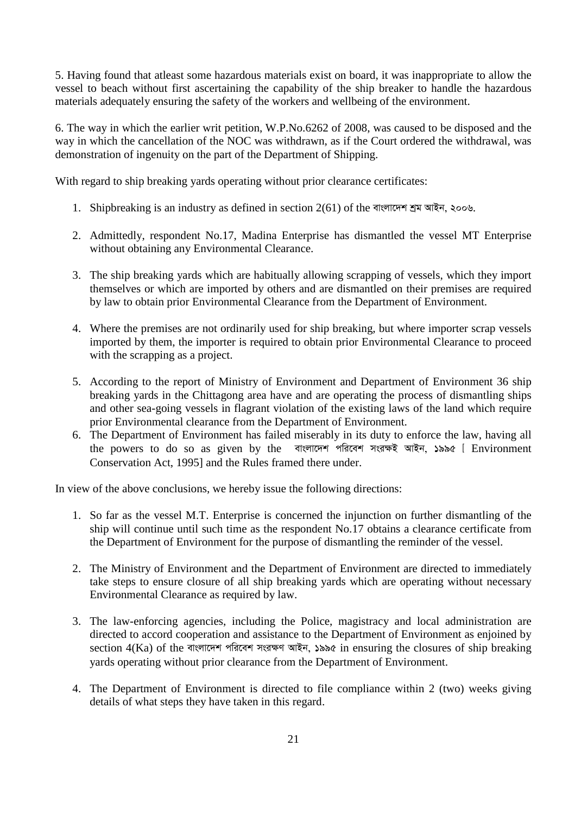5. Having found that atleast some hazardous materials exist on board, it was inappropriate to allow the vessel to beach without first ascertaining the capability of the ship breaker to handle the hazardous materials adequately ensuring the safety of the workers and wellbeing of the environment.

6. The way in which the earlier writ petition, W.P.No.6262 of 2008, was caused to be disposed and the way in which the cancellation of the NOC was withdrawn, as if the Court ordered the withdrawal, was demonstration of ingenuity on the part of the Department of Shipping.

With regard to ship breaking yards operating without prior clearance certificates:

- 1. Shipbreaking is an industry as defined in section 2(61) of the বাংলাদেশ শ্ৰম আইন, ২০০৬.
- 2. Admittedly, respondent No.17, Madina Enterprise has dismantled the vessel MT Enterprise without obtaining any Environmental Clearance.
- 3. The ship breaking yards which are habitually allowing scrapping of vessels, which they import themselves or which are imported by others and are dismantled on their premises are required by law to obtain prior Environmental Clearance from the Department of Environment.
- 4. Where the premises are not ordinarily used for ship breaking, but where importer scrap vessels imported by them, the importer is required to obtain prior Environmental Clearance to proceed with the scrapping as a project.
- 5. According to the report of Ministry of Environment and Department of Environment 36 ship breaking yards in the Chittagong area have and are operating the process of dismantling ships and other sea-going vessels in flagrant violation of the existing laws of the land which require prior Environmental clearance from the Department of Environment.
- 6. The Department of Environment has failed miserably in its duty to enforce the law, having all the powers to do so as given by the বাংলাদেশ পরিবেশ সংরক্ষই আইন, ১৯৯৫ [ Environment Conservation Act, 1995] and the Rules framed there under.

In view of the above conclusions, we hereby issue the following directions:

- 1. So far as the vessel M.T. Enterprise is concerned the injunction on further dismantling of the ship will continue until such time as the respondent No.17 obtains a clearance certificate from the Department of Environment for the purpose of dismantling the reminder of the vessel.
- 2. The Ministry of Environment and the Department of Environment are directed to immediately take steps to ensure closure of all ship breaking yards which are operating without necessary Environmental Clearance as required by law.
- 3. The law-enforcing agencies, including the Police, magistracy and local administration are directed to accord cooperation and assistance to the Department of Environment as enjoined by section 4(Ka) of the বাংলাদেশ পরিবেশ সংরক্ষণ আইন, ১৯৯৫ in ensuring the closures of ship breaking yards operating without prior clearance from the Department of Environment.
- 4. The Department of Environment is directed to file compliance within 2 (two) weeks giving details of what steps they have taken in this regard.